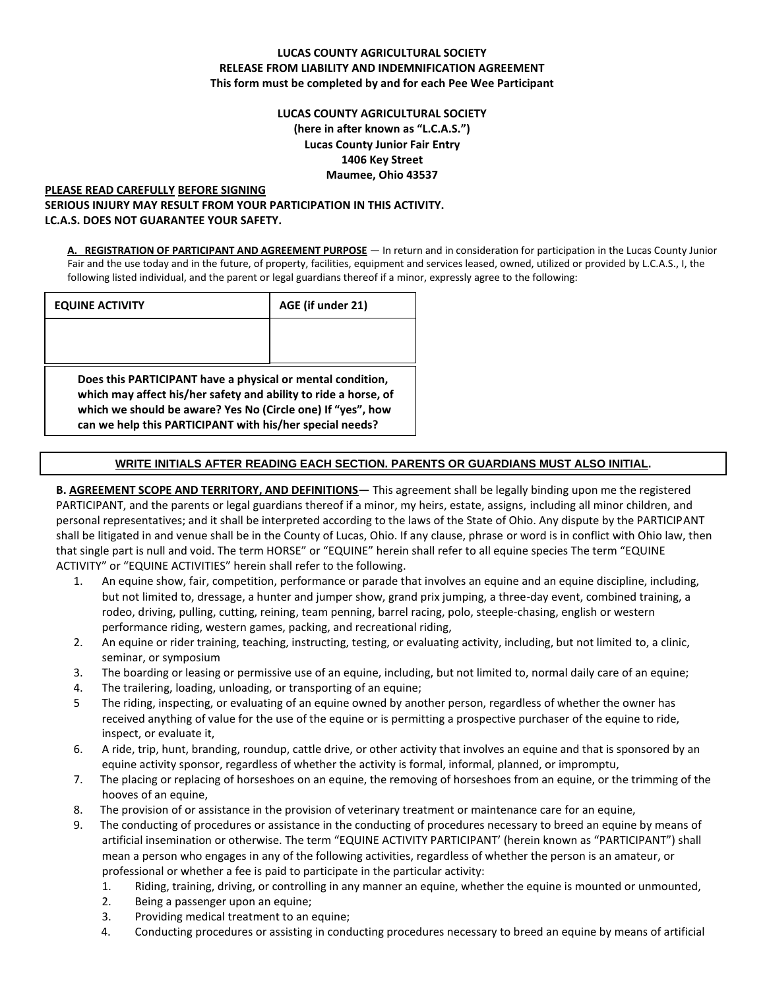# **LUCAS COUNTY AGRICULTURAL SOCIETY RELEASE FROM LIABILITY AND INDEMNIFICATION AGREEMENT This form must be completed by and for each Pee Wee Participant**

# **LUCAS COUNTY AGRICULTURAL SOCIETY (here in after known as "L.C.A.S.") Lucas County Junior Fair Entry 1406 Key Street Maumee, Ohio 43537**

### **PLEASE READ CAREFULLY BEFORE SIGNING SERIOUS INJURY MAY RESULT FROM YOUR PARTICIPATION IN THIS ACTIVITY. LC.A.S. DOES NOT GUARANTEE YOUR SAFETY.**

**A. REGISTRATION OF PARTICIPANT AND AGREEMENT PURPOSE** — In return and in consideration for participation in the Lucas County Junior Fair and the use today and in the future, of property, facilities, equipment and services leased, owned, utilized or provided by L.C.A.S., I, the following listed individual, and the parent or legal guardians thereof if a minor, expressly agree to the following:

| <b>EQUINE ACTIVITY</b>                                                                                                        | AGE (if under 21) |  |
|-------------------------------------------------------------------------------------------------------------------------------|-------------------|--|
|                                                                                                                               |                   |  |
|                                                                                                                               |                   |  |
| Does this PARTICIPANT have a physical or mental condition,<br>which may affect his/her safety and ability to ride a horse, of |                   |  |
| which we should be aware? Yes No (Circle one) If "yes", how<br>can we help this PARTICIPANT with his/her special needs?       |                   |  |

# **WRITE INITIALS AFTER READING EACH SECTION. PARENTS OR GUARDIANS MUST ALSO INITIAL.**

# **B. AGREEMENT SCOPE AND TERRITORY, AND DEFINITIONS—** This agreement shall be legally binding upon me the registered PARTICIPANT, and the parents or legal guardians thereof if a minor, my heirs, estate, assigns, including all minor children, and personal representatives; and it shall be interpreted according to the laws of the State of Ohio. Any dispute by the PARTICIPANT shall be litigated in and venue shall be in the County of Lucas, Ohio. If any clause, phrase or word is in conflict with Ohio law, then that single part is null and void. The term HORSE" or "EQUINE" herein shall refer to all equine species The term "EQUINE ACTIVITY" or "EQUINE ACTIVITIES" herein shall refer to the following.

- 1. An equine show, fair, competition, performance or parade that involves an equine and an equine discipline, including, but not limited to, dressage, a hunter and jumper show, grand prix jumping, a three-day event, combined training, a rodeo, driving, pulling, cutting, reining, team penning, barrel racing, polo, steeple-chasing, english or western performance riding, western games, packing, and recreational riding,
- 2. An equine or rider training, teaching, instructing, testing, or evaluating activity, including, but not limited to, a clinic, seminar, or symposium
- 3. The boarding or leasing or permissive use of an equine, including, but not limited to, normal daily care of an equine;
- 4. The trailering, loading, unloading, or transporting of an equine;
- 5 The riding, inspecting, or evaluating of an equine owned by another person, regardless of whether the owner has received anything of value for the use of the equine or is permitting a prospective purchaser of the equine to ride, inspect, or evaluate it,
- 6. A ride, trip, hunt, branding, roundup, cattle drive, or other activity that involves an equine and that is sponsored by an equine activity sponsor, regardless of whether the activity is formal, informal, planned, or impromptu,
- 7. The placing or replacing of horseshoes on an equine, the removing of horseshoes from an equine, or the trimming of the hooves of an equine,
- 8. The provision of or assistance in the provision of veterinary treatment or maintenance care for an equine,
- 9. The conducting of procedures or assistance in the conducting of procedures necessary to breed an equine by means of artificial insemination or otherwise. The term "EQUINE ACTIVITY PARTICIPANT' (herein known as "PARTICIPANT") shall mean a person who engages in any of the following activities, regardless of whether the person is an amateur, or professional or whether a fee is paid to participate in the particular activity:
	- 1. Riding, training, driving, or controlling in any manner an equine, whether the equine is mounted or unmounted,
	- 2. Being a passenger upon an equine;
	- 3. Providing medical treatment to an equine;
	- 4. Conducting procedures or assisting in conducting procedures necessary to breed an equine by means of artificial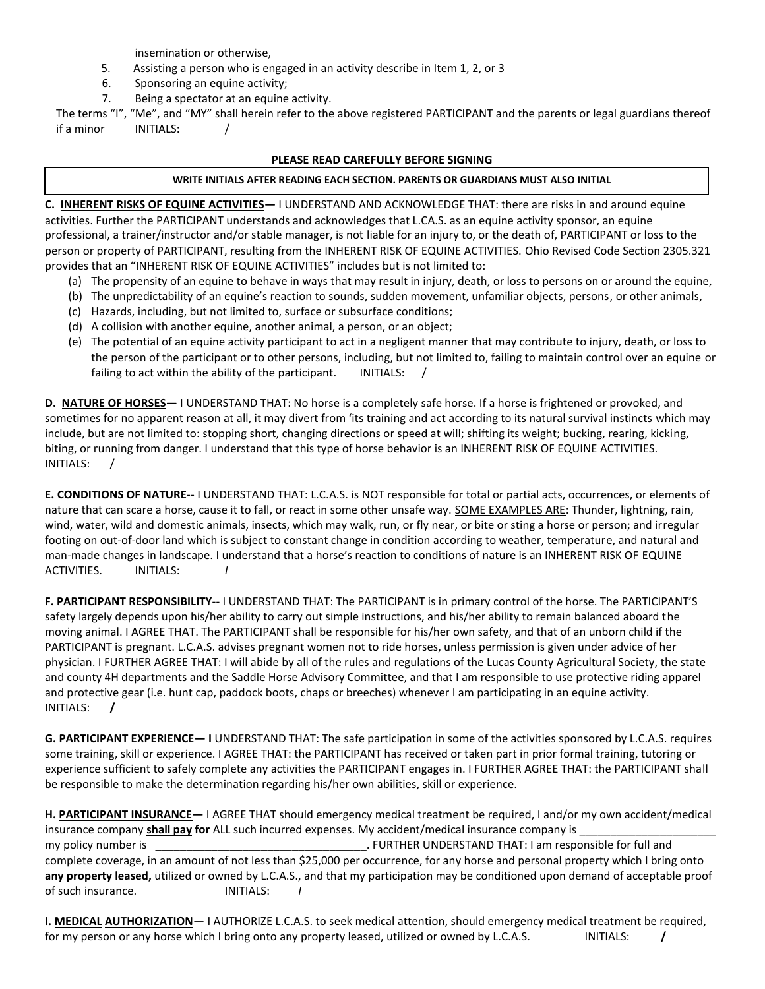insemination or otherwise,

- 5. Assisting a person who is engaged in an activity describe in Item 1, 2, or 3
- 6. Sponsoring an equine activity;
- 7. Being a spectator at an equine activity.

The terms "I", "Me", and "MY" shall herein refer to the above registered PARTICIPANT and the parents or legal guardians thereof if a minor INITIALS: /

#### **PLEASE READ CAREFULLY BEFORE SIGNING**

#### **WRITE INITIALS AFTER READING EACH SECTION. PARENTS OR GUARDIANS MUST ALSO INITIAL**

**C. INHERENT RISKS OF EQUINE ACTIVITIES—** I UNDERSTAND AND ACKNOWLEDGE THAT: there are risks in and around equine activities. Further the PARTICIPANT understands and acknowledges that L.CA.S. as an equine activity sponsor, an equine professional, a trainer/instructor and/or stable manager, is not liable for an injury to, or the death of, PARTICIPANT or loss to the person or property of PARTICIPANT, resulting from the INHERENT RISK OF EQUINE ACTIVITIES. Ohio Revised Code Section 2305.321 provides that an "INHERENT RISK OF EQUINE ACTIVITIES" includes but is not limited to:

- (a) The propensity of an equine to behave in ways that may result in injury, death, or loss to persons on or around the equine,
- (b) The unpredictability of an equine's reaction to sounds, sudden movement, unfamiliar objects, persons, or other animals,
- (c) Hazards, including, but not limited to, surface or subsurface conditions;
- (d) A collision with another equine, another animal, a person, or an object;
- (e) The potential of an equine activity participant to act in a negligent manner that may contribute to injury, death, or loss to the person of the participant or to other persons, including, but not limited to, failing to maintain control over an equine or failing to act within the ability of the participant. INITIALS:  $/$

**D. NATURE OF HORSES—** I UNDERSTAND THAT: No horse is a completely safe horse. If a horse is frightened or provoked, and sometimes for no apparent reason at all, it may divert from 'its training and act according to its natural survival instincts which may include, but are not limited to: stopping short, changing directions or speed at will; shifting its weight; bucking, rearing, kicking, biting, or running from danger. I understand that this type of horse behavior is an INHERENT RISK OF EQUINE ACTIVITIES. INITIALS: /

**E. CONDITIONS OF NATURE**-- I UNDERSTAND THAT: L.C.A.S. is NOT responsible for total or partial acts, occurrences, or elements of nature that can scare a horse, cause it to fall, or react in some other unsafe way. SOME EXAMPLES ARE: Thunder, lightning, rain, wind, water, wild and domestic animals, insects, which may walk, run, or fly near, or bite or sting a horse or person; and irregular footing on out-of-door land which is subject to constant change in condition according to weather, temperature, and natural and man-made changes in landscape. I understand that a horse's reaction to conditions of nature is an INHERENT RISK OF EQUINE ACTIVITIES. INITIALS: *I*

**F. PARTICIPANT RESPONSIBILITY**-- I UNDERSTAND THAT: The PARTICIPANT is in primary control of the horse. The PARTICIPANT'S safety largely depends upon his/her ability to carry out simple instructions, and his/her ability to remain balanced aboard the moving animal. I AGREE THAT. The PARTICIPANT shall be responsible for his/her own safety, and that of an unborn child if the PARTICIPANT is pregnant. L.C.A.S. advises pregnant women not to ride horses, unless permission is given under advice of her physician. I FURTHER AGREE THAT: I will abide by all of the rules and regulations of the Lucas County Agricultural Society, the state and county 4H departments and the Saddle Horse Advisory Committee, and that I am responsible to use protective riding apparel and protective gear (i.e. hunt cap, paddock boots, chaps or breeches) whenever I am participating in an equine activity. INITIALS: **/**

**G. PARTICIPANT EXPERIENCE— I** UNDERSTAND THAT: The safe participation in some of the activities sponsored by L.C.A.S. requires some training, skill or experience. I AGREE THAT: the PARTICIPANT has received or taken part in prior formal training, tutoring or experience sufficient to safely complete any activities the PARTICIPANT engages in. I FURTHER AGREE THAT: the PARTICIPANT shall be responsible to make the determination regarding his/her own abilities, skill or experience.

**H. PARTICIPANT INSURANCE—** I AGREE THAT should emergency medical treatment be required, I and/or my own accident/medical insurance company **shall pay for** ALL such incurred expenses. My accident/medical insurance company is \_ my policy number is \_\_\_\_\_\_\_\_\_\_\_\_\_\_\_\_\_\_\_\_\_\_\_\_\_\_\_\_\_\_\_\_\_\_. FURTHER UNDERSTAND THAT: I am responsible for full and complete coverage, in an amount of not less than \$25,000 per occurrence, for any horse and personal property which I bring onto **any property leased,** utilized or owned by L.C.A.S., and that my participation may be conditioned upon demand of acceptable proof of such insurance. INITIALS: *I*

**I. MEDICAL AUTHORIZATION**— I AUTHORIZE L.C.A.S. to seek medical attention, should emergency medical treatment be required, for my person or any horse which I bring onto any property leased, utilized or owned by L.C.A.S. INITIALS: **/**